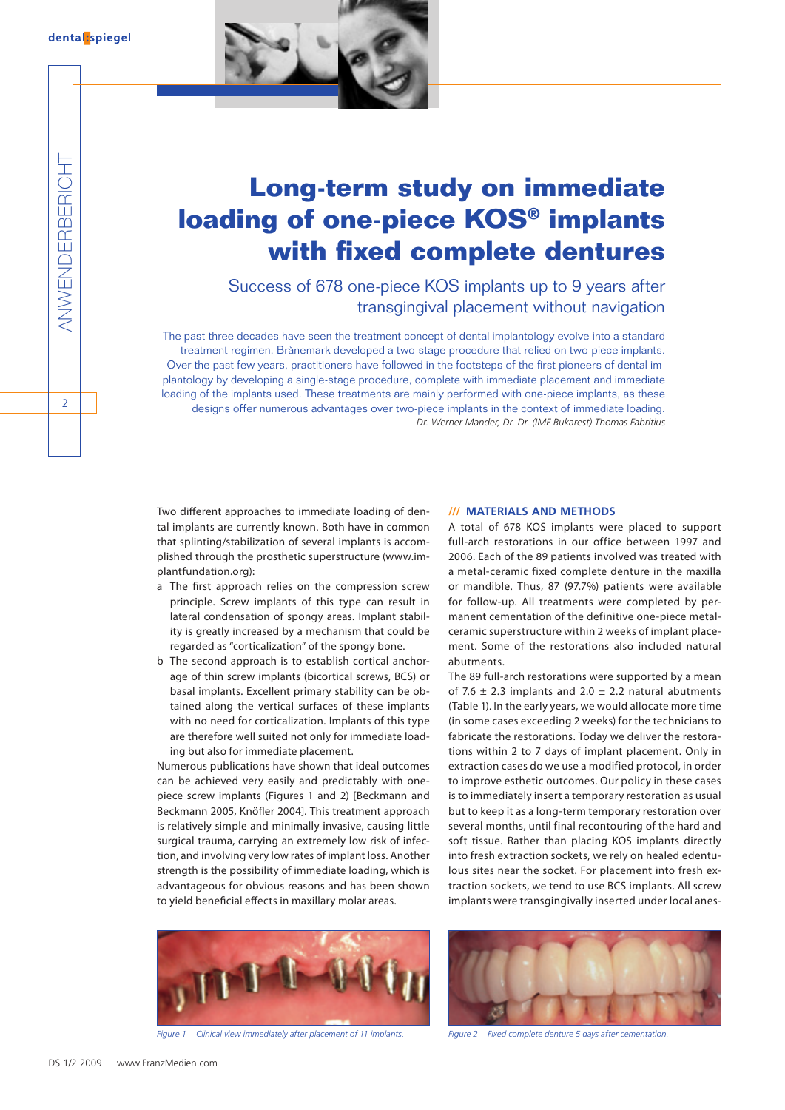

# **Long-term study on immediate loading of one-piece KOS® implants with fixed complete dentures**

Success of 678 one-piece KOS implants up to 9 years after transgingival placement without navigation

The past three decades have seen the treatment concept of dental implantology evolve into a standard treatment regimen. Brånemark developed a two-stage procedure that relied on two-piece implants. Over the past few years, practitioners have followed in the footsteps of the first pioneers of dental implantology by developing a single-stage procedure, complete with immediate placement and immediate loading of the implants used. These treatments are mainly performed with one-piece implants, as these designs offer numerous advantages over two-piece implants in the context of immediate loading. *Dr. Werner Mander, Dr. Dr. (IMF Bukarest) Thomas Fabritius*

Two different approaches to immediate loading of dental implants are currently known. Both have in common that splinting/stabilization of several implants is accomplished through the prosthetic superstructure (www.implantfundation.org):

- a The first approach relies on the compression screw principle. Screw implants of this type can result in lateral condensation of spongy areas. Implant stability is greatly increased by a mechanism that could be regarded as "corticalization" of the spongy bone.
- b The second approach is to establish cortical anchorage of thin screw implants (bicortical screws, BCS) or basal implants. Excellent primary stability can be obtained along the vertical surfaces of these implants with no need for corticalization. Implants of this type are therefore well suited not only for immediate loading but also for immediate placement.

Numerous publications have shown that ideal outcomes can be achieved very easily and predictably with onepiece screw implants (Figures 1 and 2) [Beckmann and Beckmann 2005, Knöfler 2004]. This treatment approach is relatively simple and minimally invasive, causing little surgical trauma, carrying an extremely low risk of infection, and involving very low rates of implant loss. Another strength is the possibility of immediate loading, which is advantageous for obvious reasons and has been shown to yield beneficial effects in maxillary molar areas.

## **/// Materials and Methods**

A total of 678 KOS implants were placed to support full-arch restorations in our office between 1997 and 2006. Each of the 89 patients involved was treated with a metal-ceramic fixed complete denture in the maxilla or mandible. Thus, 87 (97.7%) patients were available for follow-up. All treatments were completed by permanent cementation of the definitive one-piece metalceramic superstructure within 2 weeks of implant placement. Some of the restorations also included natural abutments.

The 89 full-arch restorations were supported by a mean of 7.6  $\pm$  2.3 implants and 2.0  $\pm$  2.2 natural abutments (Table 1). In the early years, we would allocate more time (in some cases exceeding 2 weeks) for the technicians to fabricate the restorations. Today we deliver the restorations within 2 to 7 days of implant placement. Only in extraction cases do we use a modified protocol, in order to improve esthetic outcomes. Our policy in these cases is to immediately insert a temporary restoration as usual but to keep it as a long-term temporary restoration over several months, until final recontouring of the hard and soft tissue. Rather than placing KOS implants directly into fresh extraction sockets, we rely on healed edentulous sites near the socket. For placement into fresh extraction sockets, we tend to use BCS implants. All screw implants were transgingivally inserted under local anes-



*Figure 1 Clinical view immediately after placement of 11 implants. Figure 2 Fixed complete denture 5 days after cementation.*

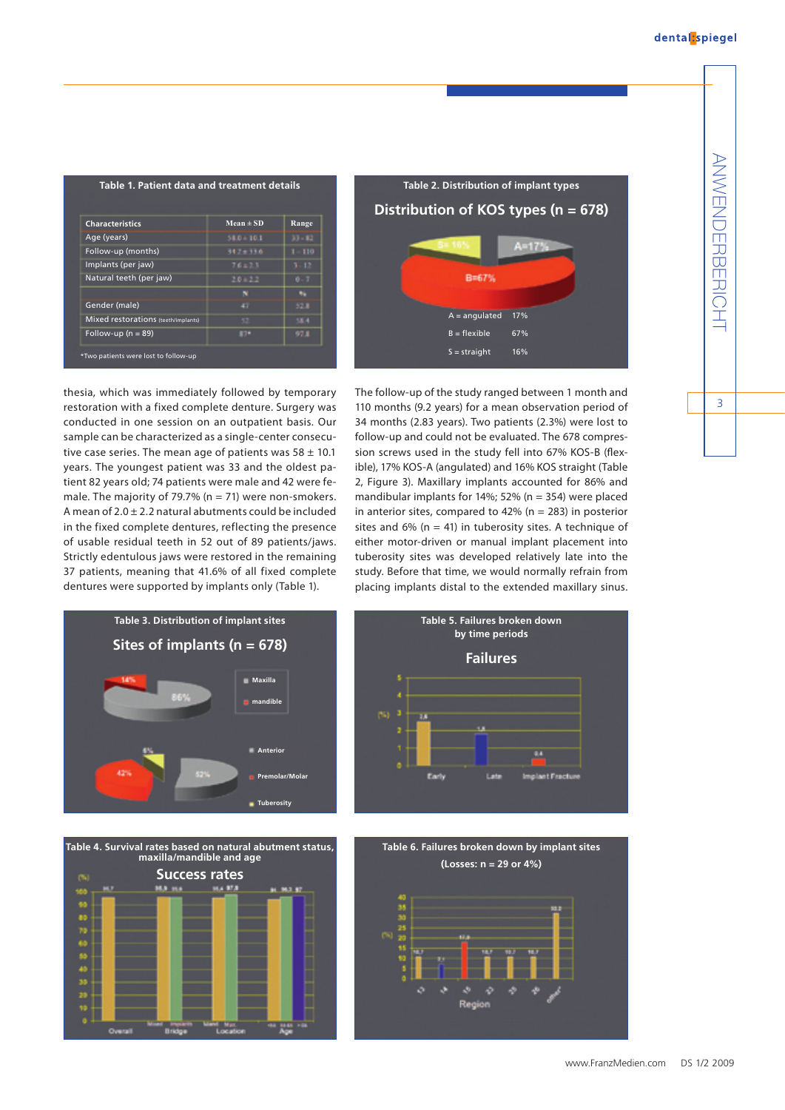ANWENDERBERICHT

 $\overline{3}$ 

**ANWENDERBERICH** 

| <b>Characteristics</b>              | $Mean \pm SD$ | Range  |
|-------------------------------------|---------------|--------|
| Age (years)                         | $58.0 + 10.1$ | 33.52  |
| Follow-up (months)                  | $34.7 + 33.6$ | $-110$ |
| Implants (per jaw)                  | 76.23         | ١Þ     |
| Natural teeth (per jaw)             | 20122         |        |
|                                     |               |        |
| Gender (male)                       |               | 52.8   |
| Mixed restorations (teeth/implants) | 43            | 58.4   |
| Follow-up ( $n = 89$ )              | 87*           | 97.5   |



thesia, which was immediately followed by temporary restoration with a fixed complete denture. Surgery was conducted in one session on an outpatient basis. Our sample can be characterized as a single-center consecutive case series. The mean age of patients was  $58 \pm 10.1$ years. The youngest patient was 33 and the oldest patient 82 years old; 74 patients were male and 42 were female. The majority of 79.7% ( $n = 71$ ) were non-smokers. A mean of  $2.0 \pm 2.2$  natural abutments could be included in the fixed complete dentures, reflecting the presence of usable residual teeth in 52 out of 89 patients/jaws. Strictly edentulous jaws were restored in the remaining 37 patients, meaning that 41.6% of all fixed complete dentures were supported by implants only (Table 1).

The follow-up of the study ranged between 1 month and 110 months (9.2 years) for a mean observation period of 34 months (2.83 years). Two patients (2.3%) were lost to follow-up and could not be evaluated. The 678 compression screws used in the study fell into 67% KOS-B (flexible), 17% KOS-A (angulated) and 16% KOS straight (Table 2, Figure 3). Maxillary implants accounted for 86% and mandibular implants for 14%; 52% (n = 354) were placed in anterior sites, compared to 42% ( $n = 283$ ) in posterior sites and 6% ( $n = 41$ ) in tuberosity sites. A technique of either motor-driven or manual implant placement into tuberosity sites was developed relatively late into the study. Before that time, we would normally refrain from placing implants distal to the extended maxillary sinus.







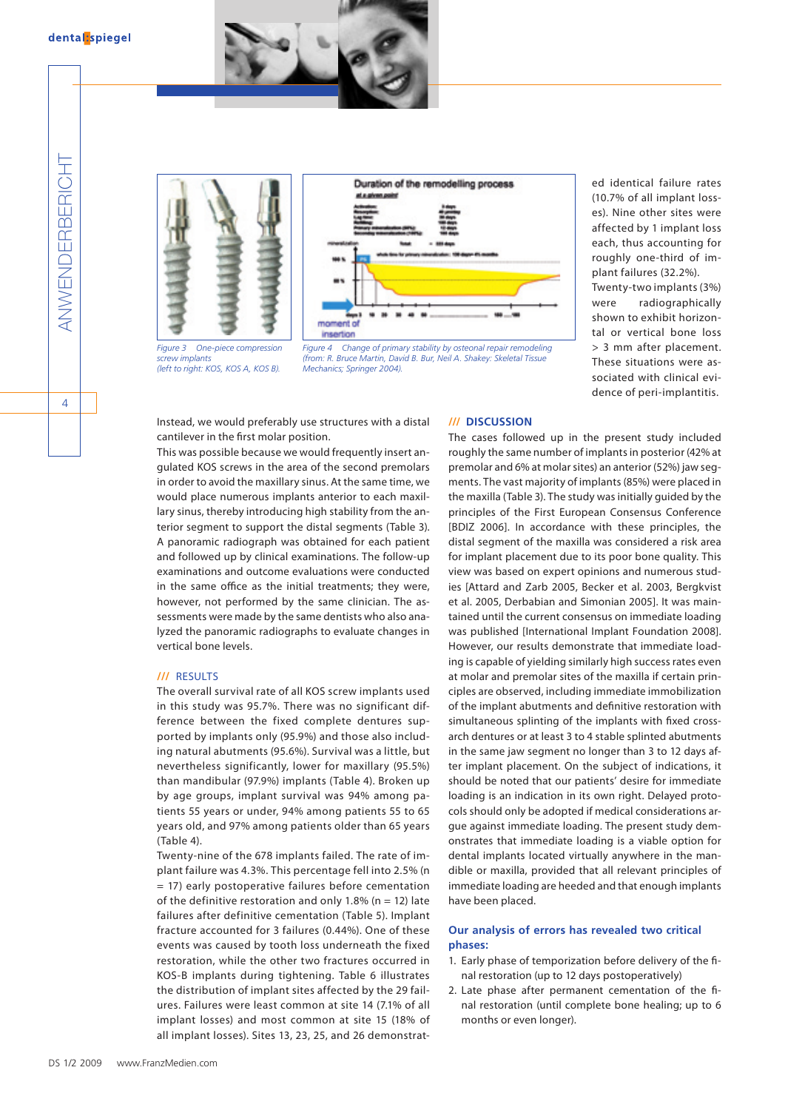



*(left to right: KOS, KOS A, KOS B).*

*screw implants*



*Figure 4 Change of primary stability by osteonal repair remodeling (from: R. Bruce Martin, David B. Bur, Neil A. Shakey: Skeletal Tissue Mechanics; Springer 2004).*

ed identical failure rates (10.7% of all implant losses). Nine other sites were affected by 1 implant loss each, thus accounting for roughly one-third of implant failures (32.2%). Twenty-two implants (3%) were radiographically shown to exhibit horizontal or vertical bone loss > 3 mm after placement. These situations were associated with clinical evidence of peri-implantitis.

Instead, we would preferably use structures with a distal cantilever in the first molar position.

This was possible because we would frequently insert angulated KOS screws in the area of the second premolars in order to avoid the maxillary sinus. At the same time, we would place numerous implants anterior to each maxillary sinus, thereby introducing high stability from the anterior segment to support the distal segments (Table 3). A panoramic radiograph was obtained for each patient and followed up by clinical examinations. The follow-up examinations and outcome evaluations were conducted in the same office as the initial treatments; they were, however, not performed by the same clinician. The assessments were made by the same dentists who also analyzed the panoramic radiographs to evaluate changes in vertical bone levels.

## **///** Results

The overall survival rate of all KOS screw implants used in this study was 95.7%. There was no significant difference between the fixed complete dentures supported by implants only (95.9%) and those also including natural abutments (95.6%). Survival was a little, but nevertheless significantly, lower for maxillary (95.5%) than mandibular (97.9%) implants (Table 4). Broken up by age groups, implant survival was 94% among patients 55 years or under, 94% among patients 55 to 65 years old, and 97% among patients older than 65 years (Table 4).

Twenty-nine of the 678 implants failed. The rate of implant failure was 4.3%. This percentage fell into 2.5% (n = 17) early postoperative failures before cementation of the definitive restoration and only 1.8% ( $n = 12$ ) late failures after definitive cementation (Table 5). Implant fracture accounted for 3 failures (0.44%). One of these events was caused by tooth loss underneath the fixed restoration, while the other two fractures occurred in KOS-B implants during tightening. Table 6 illustrates the distribution of implant sites affected by the 29 failures. Failures were least common at site 14 (7.1% of all implant losses) and most common at site 15 (18% of all implant losses). Sites 13, 23, 25, and 26 demonstrat-

#### **/// Discussion**

The cases followed up in the present study included roughly the same number of implants in posterior (42% at premolar and 6% at molar sites) an anterior (52%) jaw segments. The vast majority of implants (85%) were placed in the maxilla (Table 3). The study was initially guided by the principles of the First European Consensus Conference [BDIZ 2006]. In accordance with these principles, the distal segment of the maxilla was considered a risk area for implant placement due to its poor bone quality. This view was based on expert opinions and numerous studies [Attard and Zarb 2005, Becker et al. 2003, Bergkvist et al. 2005, Derbabian and Simonian 2005]. It was maintained until the current consensus on immediate loading was published [International Implant Foundation 2008]. However, our results demonstrate that immediate loading is capable of yielding similarly high success rates even at molar and premolar sites of the maxilla if certain principles are observed, including immediate immobilization of the implant abutments and definitive restoration with simultaneous splinting of the implants with fixed crossarch dentures or at least 3 to 4 stable splinted abutments in the same jaw segment no longer than 3 to 12 days after implant placement. On the subject of indications, it should be noted that our patients' desire for immediate loading is an indication in its own right. Delayed protocols should only be adopted if medical considerations argue against immediate loading. The present study demonstrates that immediate loading is a viable option for dental implants located virtually anywhere in the mandible or maxilla, provided that all relevant principles of immediate loading are heeded and that enough implants have been placed.

## **Our analysis of errors has revealed two critical phases:**

- 1. Early phase of temporization before delivery of the final restoration (up to 12 days postoperatively)
- 2. Late phase after permanent cementation of the final restoration (until complete bone healing; up to 6 months or even longer).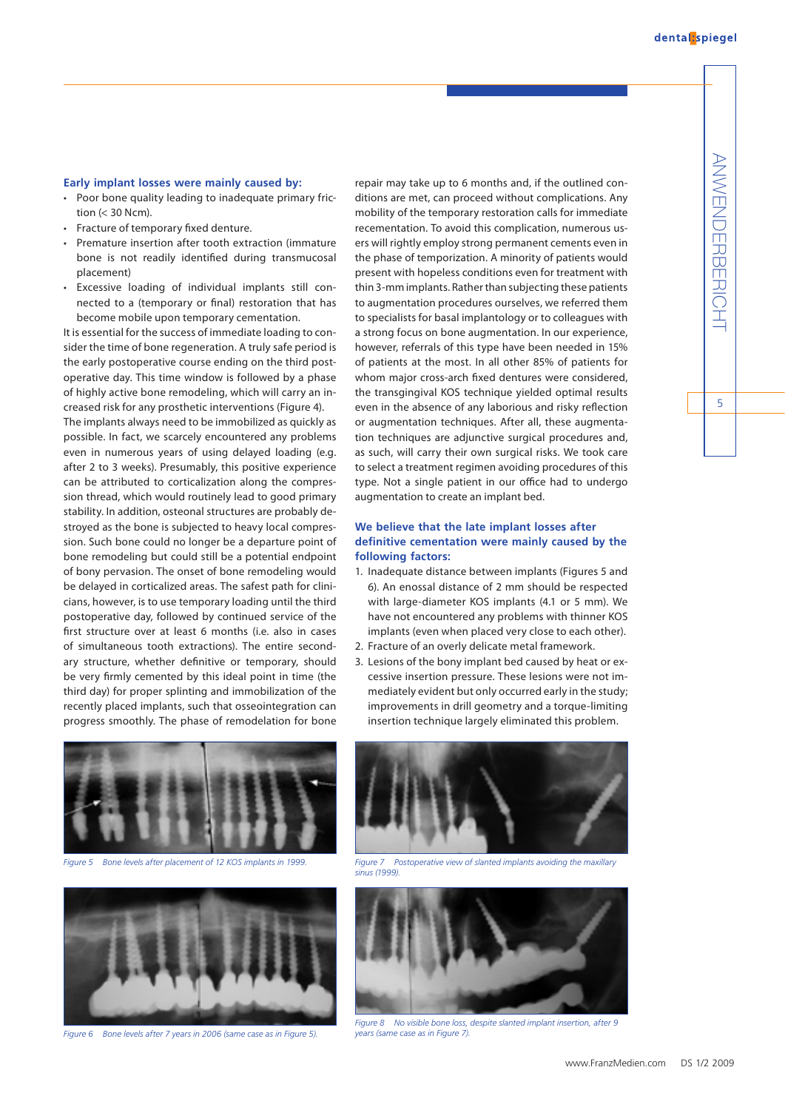#### **Early implant losses were mainly caused by:**

- Poor bone quality leading to inadequate primary friction  $(< 30$  Ncm).
- Fracture of temporary fixed denture.
- Premature insertion after tooth extraction (immature bone is not readily identified during transmucosal placement)
- Excessive loading of individual implants still connected to a (temporary or final) restoration that has become mobile upon temporary cementation.

It is essential for the success of immediate loading to consider the time of bone regeneration. A truly safe period is the early postoperative course ending on the third postoperative day. This time window is followed by a phase of highly active bone remodeling, which will carry an increased risk for any prosthetic interventions (Figure 4).

The implants always need to be immobilized as quickly as possible. In fact, we scarcely encountered any problems even in numerous years of using delayed loading (e.g. after 2 to 3 weeks). Presumably, this positive experience can be attributed to corticalization along the compression thread, which would routinely lead to good primary stability. In addition, osteonal structures are probably destroyed as the bone is subjected to heavy local compression. Such bone could no longer be a departure point of bone remodeling but could still be a potential endpoint of bony pervasion. The onset of bone remodeling would be delayed in corticalized areas. The safest path for clinicians, however, is to use temporary loading until the third postoperative day, followed by continued service of the first structure over at least 6 months (i.e. also in cases of simultaneous tooth extractions). The entire secondary structure, whether definitive or temporary, should be very firmly cemented by this ideal point in time (the third day) for proper splinting and immobilization of the recently placed implants, such that osseointegration can progress smoothly. The phase of remodelation for bone



*Figure 5 Bone levels after placement of 12 KOS implants in 1999. Figure 7 Postoperative view of slanted implants avoiding the maxillary* 



*Figure 6 Bone levels after 7 years in 2006 (same case as in Figure 5).*

repair may take up to 6 months and, if the outlined conditions are met, can proceed without complications. Any mobility of the temporary restoration calls for immediate recementation. To avoid this complication, numerous users will rightly employ strong permanent cements even in the phase of temporization. A minority of patients would present with hopeless conditions even for treatment with thin 3-mm implants. Rather than subjecting these patients to augmentation procedures ourselves, we referred them to specialists for basal implantology or to colleagues with a strong focus on bone augmentation. In our experience, however, referrals of this type have been needed in 15% of patients at the most. In all other 85% of patients for whom major cross-arch fixed dentures were considered, the transgingival KOS technique yielded optimal results even in the absence of any laborious and risky reflection or augmentation techniques. After all, these augmentation techniques are adjunctive surgical procedures and, as such, will carry their own surgical risks. We took care to select a treatment regimen avoiding procedures of this type. Not a single patient in our office had to undergo augmentation to create an implant bed.

## **We believe that the late implant losses after definitive cementation were mainly caused by the following factors:**

- 1. Inadequate distance between implants (Figures 5 and 6). An enossal distance of 2 mm should be respected with large-diameter KOS implants (4.1 or 5 mm). We have not encountered any problems with thinner KOS implants (even when placed very close to each other).
- 2. Fracture of an overly delicate metal framework.
- 3. Lesions of the bony implant bed caused by heat or excessive insertion pressure. These lesions were not immediately evident but only occurred early in the study; improvements in drill geometry and a torque-limiting insertion technique largely eliminated this problem.



*sinus (1999).*



*Figure 8 No visible bone loss, despite slanted implant insertion, after 9 years (same case as in Figure 7).*

 $\overline{5}$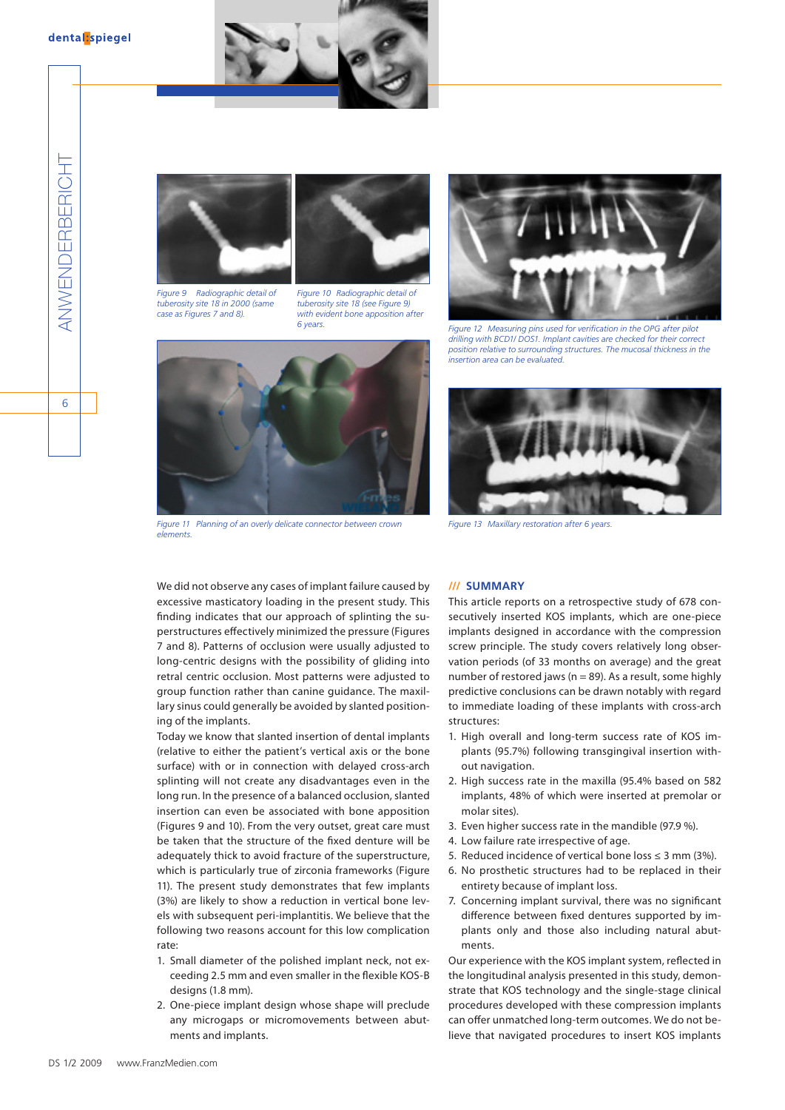









*Figure 11 Planning of an overly delicate connector between crown elements.*



*6 years. Figure 12 Measuring pins used for verification in the OPG after pilot drilling with BCD1/ DOS1. Implant cavities are checked for their correct position relative to surrounding structures. The mucosal thickness in the insertion area can be evaluated.*



*Figure 13 Maxillary restoration after 6 years.*

We did not observe any cases of implant failure caused by excessive masticatory loading in the present study. This finding indicates that our approach of splinting the superstructures effectively minimized the pressure (Figures 7 and 8). Patterns of occlusion were usually adjusted to long-centric designs with the possibility of gliding into retral centric occlusion. Most patterns were adjusted to group function rather than canine guidance. The maxillary sinus could generally be avoided by slanted positioning of the implants.

Today we know that slanted insertion of dental implants (relative to either the patient's vertical axis or the bone surface) with or in connection with delayed cross-arch splinting will not create any disadvantages even in the long run. In the presence of a balanced occlusion, slanted insertion can even be associated with bone apposition (Figures 9 and 10). From the very outset, great care must be taken that the structure of the fixed denture will be adequately thick to avoid fracture of the superstructure, which is particularly true of zirconia frameworks (Figure 11). The present study demonstrates that few implants (3%) are likely to show a reduction in vertical bone levels with subsequent peri-implantitis. We believe that the following two reasons account for this low complication rate:

- 1. Small diameter of the polished implant neck, not exceeding 2.5 mm and even smaller in the flexible KOS-B designs (1.8 mm).
- 2. One-piece implant design whose shape will preclude any microgaps or micromovements between abutments and implants.

## **/// Summary**

This article reports on a retrospective study of 678 consecutively inserted KOS implants, which are one-piece implants designed in accordance with the compression screw principle. The study covers relatively long observation periods (of 33 months on average) and the great number of restored jaws ( $n = 89$ ). As a result, some highly predictive conclusions can be drawn notably with regard to immediate loading of these implants with cross-arch structures:

- 1. High overall and long-term success rate of KOS implants (95.7%) following transgingival insertion without navigation.
- 2. High success rate in the maxilla (95.4% based on 582 implants, 48% of which were inserted at premolar or molar sites).
- 3. Even higher success rate in the mandible (97.9 %).
- 4. Low failure rate irrespective of age.
- 5. Reduced incidence of vertical bone loss ≤ 3 mm (3%).
- 6. No prosthetic structures had to be replaced in their entirety because of implant loss.
- 7. Concerning implant survival, there was no significant difference between fixed dentures supported by implants only and those also including natural abutments.

Our experience with the KOS implant system, reflected in the longitudinal analysis presented in this study, demonstrate that KOS technology and the single-stage clinical procedures developed with these compression implants can offer unmatched long-term outcomes. We do not believe that navigated procedures to insert KOS implants